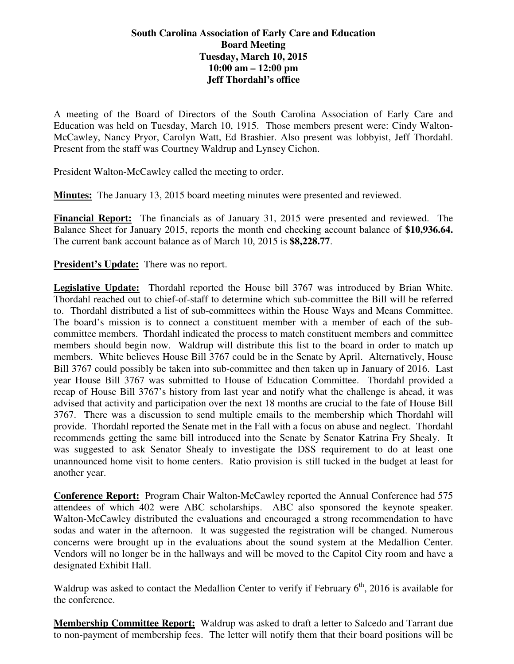## **South Carolina Association of Early Care and Education Board Meeting Tuesday, March 10, 2015 10:00 am – 12:00 pm Jeff Thordahl's office**

A meeting of the Board of Directors of the South Carolina Association of Early Care and Education was held on Tuesday, March 10, 1915. Those members present were: Cindy Walton-McCawley, Nancy Pryor, Carolyn Watt, Ed Brashier. Also present was lobbyist, Jeff Thordahl. Present from the staff was Courtney Waldrup and Lynsey Cichon.

President Walton-McCawley called the meeting to order.

**Minutes:** The January 13, 2015 board meeting minutes were presented and reviewed.

**Financial Report:** The financials as of January 31, 2015 were presented and reviewed. The Balance Sheet for January 2015, reports the month end checking account balance of **\$10,936.64.** The current bank account balance as of March 10, 2015 is **\$8,228.77**.

**President's Update:** There was no report.

**Legislative Update:** Thordahl reported the House bill 3767 was introduced by Brian White. Thordahl reached out to chief-of-staff to determine which sub-committee the Bill will be referred to. Thordahl distributed a list of sub-committees within the House Ways and Means Committee. The board's mission is to connect a constituent member with a member of each of the subcommittee members. Thordahl indicated the process to match constituent members and committee members should begin now. Waldrup will distribute this list to the board in order to match up members. White believes House Bill 3767 could be in the Senate by April. Alternatively, House Bill 3767 could possibly be taken into sub-committee and then taken up in January of 2016. Last year House Bill 3767 was submitted to House of Education Committee. Thordahl provided a recap of House Bill 3767's history from last year and notify what the challenge is ahead, it was advised that activity and participation over the next 18 months are crucial to the fate of House Bill 3767. There was a discussion to send multiple emails to the membership which Thordahl will provide. Thordahl reported the Senate met in the Fall with a focus on abuse and neglect. Thordahl recommends getting the same bill introduced into the Senate by Senator Katrina Fry Shealy. It was suggested to ask Senator Shealy to investigate the DSS requirement to do at least one unannounced home visit to home centers. Ratio provision is still tucked in the budget at least for another year.

**Conference Report:** Program Chair Walton-McCawley reported the Annual Conference had 575 attendees of which 402 were ABC scholarships. ABC also sponsored the keynote speaker. Walton-McCawley distributed the evaluations and encouraged a strong recommendation to have sodas and water in the afternoon. It was suggested the registration will be changed. Numerous concerns were brought up in the evaluations about the sound system at the Medallion Center. Vendors will no longer be in the hallways and will be moved to the Capitol City room and have a designated Exhibit Hall.

Waldrup was asked to contact the Medallion Center to verify if February  $6<sup>th</sup>$ , 2016 is available for the conference.

**Membership Committee Report:** Waldrup was asked to draft a letter to Salcedo and Tarrant due to non-payment of membership fees. The letter will notify them that their board positions will be